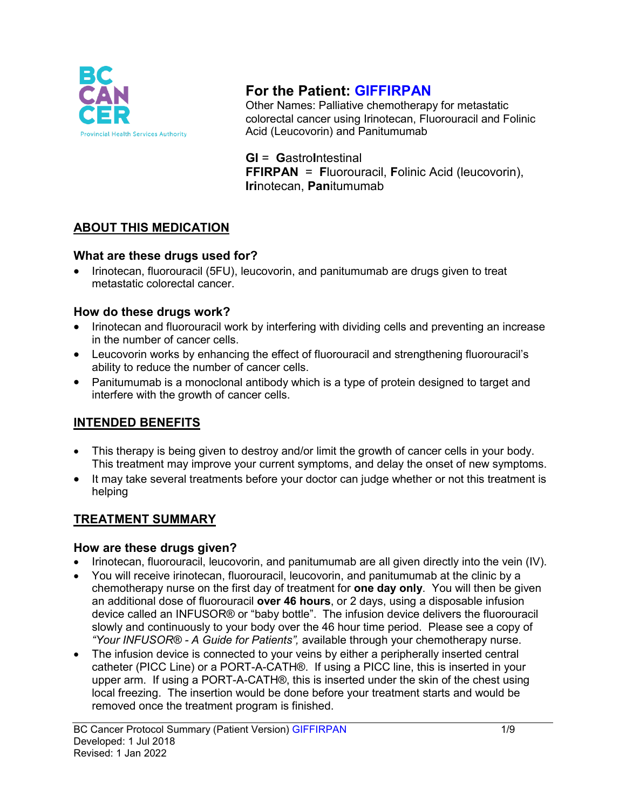

# **For the Patient: GIFFIRPAN**

Other Names: Palliative chemotherapy for metastatic colorectal cancer using Irinotecan, Fluorouracil and Folinic Acid (Leucovorin) and Panitumumab

**GI** = **G**astro**I**ntestinal **FFIRPAN** = **F**luorouracil, **F**olinic Acid (leucovorin), **Iri**notecan, **Pan**itumumab

# **ABOUT THIS MEDICATION**

### **What are these drugs used for?**

• Irinotecan, fluorouracil (5FU), leucovorin, and panitumumab are drugs given to treat metastatic colorectal cancer.

## **How do these drugs work?**

- Irinotecan and fluorouracil work by interfering with dividing cells and preventing an increase in the number of cancer cells.
- Leucovorin works by enhancing the effect of fluorouracil and strengthening fluorouracil's ability to reduce the number of cancer cells.
- Panitumumab is a monoclonal antibody which is a type of protein designed to target and interfere with the growth of cancer cells.

### **INTENDED BENEFITS**

- This therapy is being given to destroy and/or limit the growth of cancer cells in your body. This treatment may improve your current symptoms, and delay the onset of new symptoms.
- It may take several treatments before your doctor can judge whether or not this treatment is helping

## **TREATMENT SUMMARY**

### **How are these drugs given?**

- Irinotecan, fluorouracil, leucovorin, and panitumumab are all given directly into the vein (IV).
- You will receive irinotecan, fluorouracil, leucovorin, and panitumumab at the clinic by a chemotherapy nurse on the first day of treatment for **one day only**. You will then be given an additional dose of fluorouracil **over 46 hours**, or 2 days, using a disposable infusion device called an INFUSOR® or "baby bottle". The infusion device delivers the fluorouracil slowly and continuously to your body over the 46 hour time period. Please see a copy of *"Your INFUSOR® - A Guide for Patients",* available through your chemotherapy nurse.
- The infusion device is connected to your veins by either a peripherally inserted central catheter (PICC Line) or a PORT-A-CATH®. If using a PICC line, this is inserted in your upper arm. If using a PORT-A-CATH®, this is inserted under the skin of the chest using local freezing. The insertion would be done before your treatment starts and would be removed once the treatment program is finished.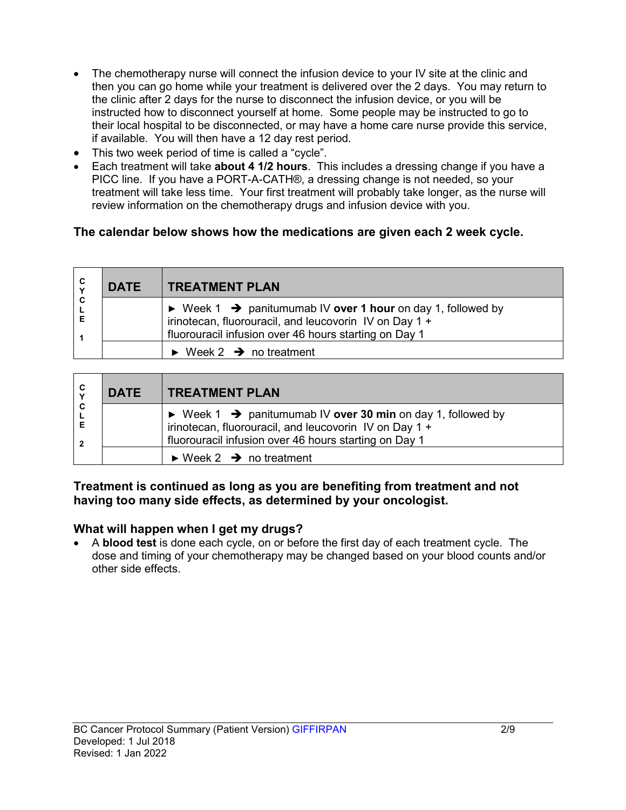- The chemotherapy nurse will connect the infusion device to your IV site at the clinic and then you can go home while your treatment is delivered over the 2 days. You may return to the clinic after 2 days for the nurse to disconnect the infusion device, or you will be instructed how to disconnect yourself at home. Some people may be instructed to go to their local hospital to be disconnected, or may have a home care nurse provide this service, if available. You will then have a 12 day rest period.
- This two week period of time is called a "cycle".
- Each treatment will take **about 4 1/2 hours**. This includes a dressing change if you have a PICC line. If you have a PORT-A-CATH®, a dressing change is not needed, so your treatment will take less time. Your first treatment will probably take longer, as the nurse will review information on the chemotherapy drugs and infusion device with you.

## **The calendar below shows how the medications are given each 2 week cycle.**

| $\mathbf{C}$ | <b>DATE</b> | <b>TREATMENT PLAN</b>                                                                                                                                                                                     |  |
|--------------|-------------|-----------------------------------------------------------------------------------------------------------------------------------------------------------------------------------------------------------|--|
| C            |             | $\triangleright$ Week 1 $\rightarrow$ panitumumab IV over 1 hour on day 1, followed by<br>irinotecan, fluorouracil, and leucovorin IV on Day 1 +<br>fluorouracil infusion over 46 hours starting on Day 1 |  |
|              |             | $\triangleright$ Week 2 $\rightarrow$ no treatment                                                                                                                                                        |  |

| C<br>$\checkmark$ | <b>DATE</b> | <b>TREATMENT PLAN</b>                                                                                                                                                                                     |  |
|-------------------|-------------|-----------------------------------------------------------------------------------------------------------------------------------------------------------------------------------------------------------|--|
| C<br>-2           |             | $\triangleright$ Week 1 $\rightarrow$ panitumumab IV over 30 min on day 1, followed by<br>irinotecan, fluorouracil, and leucovorin IV on Day 1 +<br>fluorouracil infusion over 46 hours starting on Day 1 |  |
|                   |             | $\triangleright$ Week 2 $\rightarrow$ no treatment                                                                                                                                                        |  |

#### **Treatment is continued as long as you are benefiting from treatment and not having too many side effects, as determined by your oncologist.**

#### **What will happen when I get my drugs?**

• A **blood test** is done each cycle, on or before the first day of each treatment cycle. The dose and timing of your chemotherapy may be changed based on your blood counts and/or other side effects.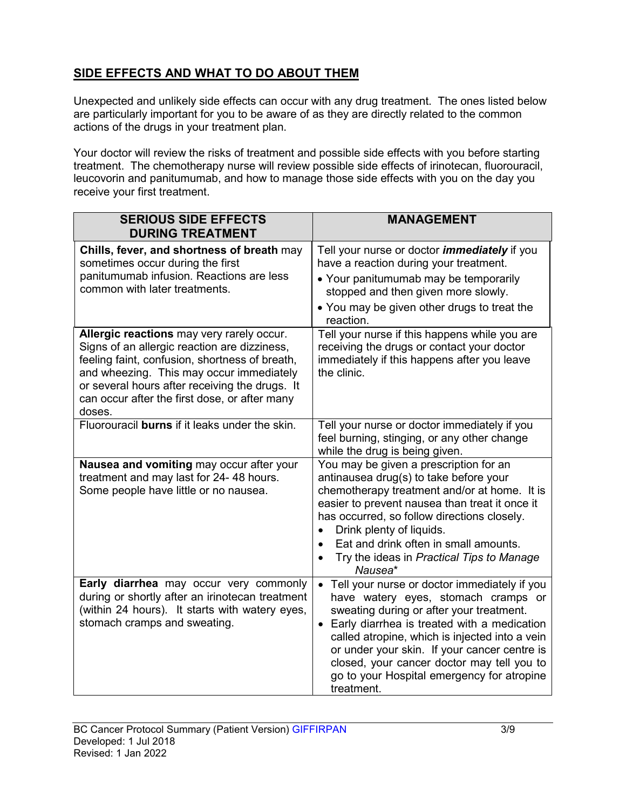# **SIDE EFFECTS AND WHAT TO DO ABOUT THEM**

Unexpected and unlikely side effects can occur with any drug treatment. The ones listed below are particularly important for you to be aware of as they are directly related to the common actions of the drugs in your treatment plan.

Your doctor will review the risks of treatment and possible side effects with you before starting treatment. The chemotherapy nurse will review possible side effects of irinotecan, fluorouracil, leucovorin and panitumumab, and how to manage those side effects with you on the day you receive your first treatment.

| <b>SERIOUS SIDE EFFECTS</b><br><b>DURING TREATMENT</b>                                                                                                                                                                                                                                               | <b>MANAGEMENT</b>                                                                                                                                                                                                                                                                                                                                                                                         |
|------------------------------------------------------------------------------------------------------------------------------------------------------------------------------------------------------------------------------------------------------------------------------------------------------|-----------------------------------------------------------------------------------------------------------------------------------------------------------------------------------------------------------------------------------------------------------------------------------------------------------------------------------------------------------------------------------------------------------|
| Chills, fever, and shortness of breath may<br>sometimes occur during the first<br>panitumumab infusion. Reactions are less<br>common with later treatments.                                                                                                                                          | Tell your nurse or doctor <i>immediately</i> if you<br>have a reaction during your treatment.<br>• Your panitumumab may be temporarily<br>stopped and then given more slowly.<br>• You may be given other drugs to treat the<br>reaction.                                                                                                                                                                 |
| Allergic reactions may very rarely occur.<br>Signs of an allergic reaction are dizziness,<br>feeling faint, confusion, shortness of breath,<br>and wheezing. This may occur immediately<br>or several hours after receiving the drugs. It<br>can occur after the first dose, or after many<br>doses. | Tell your nurse if this happens while you are<br>receiving the drugs or contact your doctor<br>immediately if this happens after you leave<br>the clinic.                                                                                                                                                                                                                                                 |
| Fluorouracil burns if it leaks under the skin.                                                                                                                                                                                                                                                       | Tell your nurse or doctor immediately if you<br>feel burning, stinging, or any other change<br>while the drug is being given.                                                                                                                                                                                                                                                                             |
| Nausea and vomiting may occur after your<br>treatment and may last for 24-48 hours.<br>Some people have little or no nausea.                                                                                                                                                                         | You may be given a prescription for an<br>antinausea drug(s) to take before your<br>chemotherapy treatment and/or at home. It is<br>easier to prevent nausea than treat it once it<br>has occurred, so follow directions closely.<br>Drink plenty of liquids.<br>Eat and drink often in small amounts.<br>Try the ideas in Practical Tips to Manage<br>Nausea*                                            |
| Early diarrhea may occur very commonly<br>during or shortly after an irinotecan treatment<br>(within 24 hours). It starts with watery eyes,<br>stomach cramps and sweating.                                                                                                                          | Tell your nurse or doctor immediately if you<br>$\bullet$<br>have watery eyes, stomach cramps or<br>sweating during or after your treatment.<br>• Early diarrhea is treated with a medication<br>called atropine, which is injected into a vein<br>or under your skin. If your cancer centre is<br>closed, your cancer doctor may tell you to<br>go to your Hospital emergency for atropine<br>treatment. |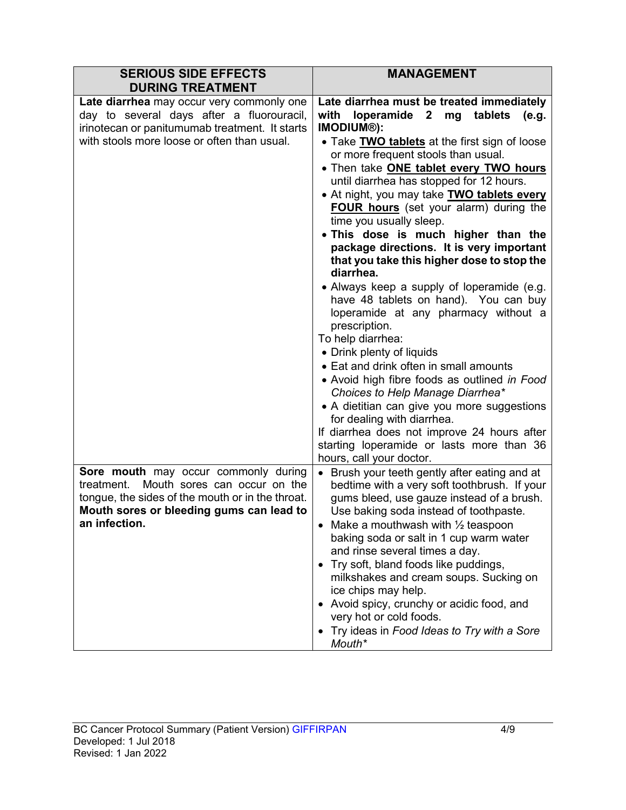| <b>SERIOUS SIDE EFFECTS</b><br><b>DURING TREATMENT</b>                                                                                                                                              | <b>MANAGEMENT</b>                                                                                                                                                                                                                                                                                                                                                                                                                                                                                                                                                                                                                                                                                                                                                                                                                                                                                                                                                                                                                                                                                          |
|-----------------------------------------------------------------------------------------------------------------------------------------------------------------------------------------------------|------------------------------------------------------------------------------------------------------------------------------------------------------------------------------------------------------------------------------------------------------------------------------------------------------------------------------------------------------------------------------------------------------------------------------------------------------------------------------------------------------------------------------------------------------------------------------------------------------------------------------------------------------------------------------------------------------------------------------------------------------------------------------------------------------------------------------------------------------------------------------------------------------------------------------------------------------------------------------------------------------------------------------------------------------------------------------------------------------------|
| Late diarrhea may occur very commonly one<br>day to several days after a fluorouracil,<br>irinotecan or panitumumab treatment. It starts<br>with stools more loose or often than usual.             | Late diarrhea must be treated immediately<br>with<br>loperamide<br>$2^{\circ}$<br>tablets<br>mg<br>(e.g.<br><b>IMODIUM®):</b><br>• Take <b>TWO tablets</b> at the first sign of loose<br>or more frequent stools than usual.<br>. Then take <b>ONE tablet every TWO hours</b><br>until diarrhea has stopped for 12 hours.<br>• At night, you may take TWO tablets every<br><b>FOUR hours</b> (set your alarm) during the<br>time you usually sleep.<br>. This dose is much higher than the<br>package directions. It is very important<br>that you take this higher dose to stop the<br>diarrhea.<br>• Always keep a supply of loperamide (e.g.<br>have 48 tablets on hand). You can buy<br>loperamide at any pharmacy without a<br>prescription.<br>To help diarrhea:<br>• Drink plenty of liquids<br>• Eat and drink often in small amounts<br>• Avoid high fibre foods as outlined in Food<br>Choices to Help Manage Diarrhea*<br>• A dietitian can give you more suggestions<br>for dealing with diarrhea.<br>If diarrhea does not improve 24 hours after<br>starting loperamide or lasts more than 36 |
| Sore mouth may occur commonly during<br>Mouth sores can occur on the<br>treatment.<br>tongue, the sides of the mouth or in the throat.<br>Mouth sores or bleeding gums can lead to<br>an infection. | hours, call your doctor.<br>• Brush your teeth gently after eating and at<br>bedtime with a very soft toothbrush. If your<br>gums bleed, use gauze instead of a brush.<br>Use baking soda instead of toothpaste.<br>Make a mouthwash with $\frac{1}{2}$ teaspoon<br>baking soda or salt in 1 cup warm water<br>and rinse several times a day.<br>• Try soft, bland foods like puddings,<br>milkshakes and cream soups. Sucking on<br>ice chips may help.<br>• Avoid spicy, crunchy or acidic food, and<br>very hot or cold foods.<br>• Try ideas in Food Ideas to Try with a Sore<br>Mouth*                                                                                                                                                                                                                                                                                                                                                                                                                                                                                                                |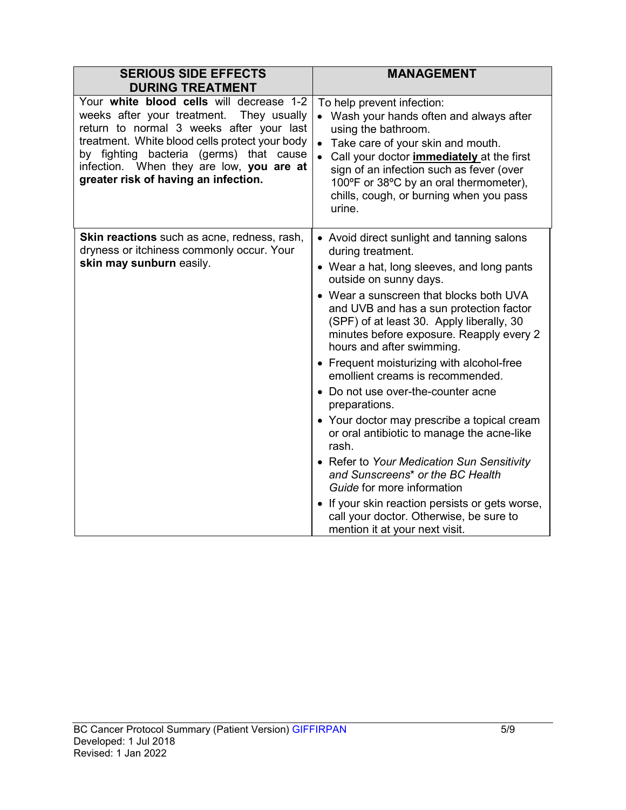| <b>SERIOUS SIDE EFFECTS</b><br><b>DURING TREATMENT</b>                                                                                                                                                                                                                                                                  | <b>MANAGEMENT</b>                                                                                                                                                                                                                                                                                                                                                                                                                                                                                                                                                                                                                                                                                                                                                                                                                                           |  |
|-------------------------------------------------------------------------------------------------------------------------------------------------------------------------------------------------------------------------------------------------------------------------------------------------------------------------|-------------------------------------------------------------------------------------------------------------------------------------------------------------------------------------------------------------------------------------------------------------------------------------------------------------------------------------------------------------------------------------------------------------------------------------------------------------------------------------------------------------------------------------------------------------------------------------------------------------------------------------------------------------------------------------------------------------------------------------------------------------------------------------------------------------------------------------------------------------|--|
| Your white blood cells will decrease 1-2<br>weeks after your treatment.<br>They usually<br>return to normal 3 weeks after your last<br>treatment. White blood cells protect your body<br>by fighting<br>bacteria (germs) that cause<br>infection. When they are low, you are at<br>greater risk of having an infection. | To help prevent infection:<br>• Wash your hands often and always after<br>using the bathroom.<br>• Take care of your skin and mouth.<br>Call your doctor <i>immediately</i> at the first<br>sign of an infection such as fever (over<br>100°F or 38°C by an oral thermometer),<br>chills, cough, or burning when you pass<br>urine.                                                                                                                                                                                                                                                                                                                                                                                                                                                                                                                         |  |
| Skin reactions such as acne, redness, rash,<br>dryness or itchiness commonly occur. Your<br>skin may sunburn easily.                                                                                                                                                                                                    | • Avoid direct sunlight and tanning salons<br>during treatment.<br>• Wear a hat, long sleeves, and long pants<br>outside on sunny days.<br>• Wear a sunscreen that blocks both UVA<br>and UVB and has a sun protection factor<br>(SPF) of at least 30. Apply liberally, 30<br>minutes before exposure. Reapply every 2<br>hours and after swimming.<br>• Frequent moisturizing with alcohol-free<br>emollient creams is recommended.<br>• Do not use over-the-counter acne<br>preparations.<br>• Your doctor may prescribe a topical cream<br>or oral antibiotic to manage the acne-like<br>rash.<br>• Refer to Your Medication Sun Sensitivity<br>and Sunscreens <sup>*</sup> or the BC Health<br>Guide for more information<br>If your skin reaction persists or gets worse,<br>call your doctor. Otherwise, be sure to<br>mention it at your next visit. |  |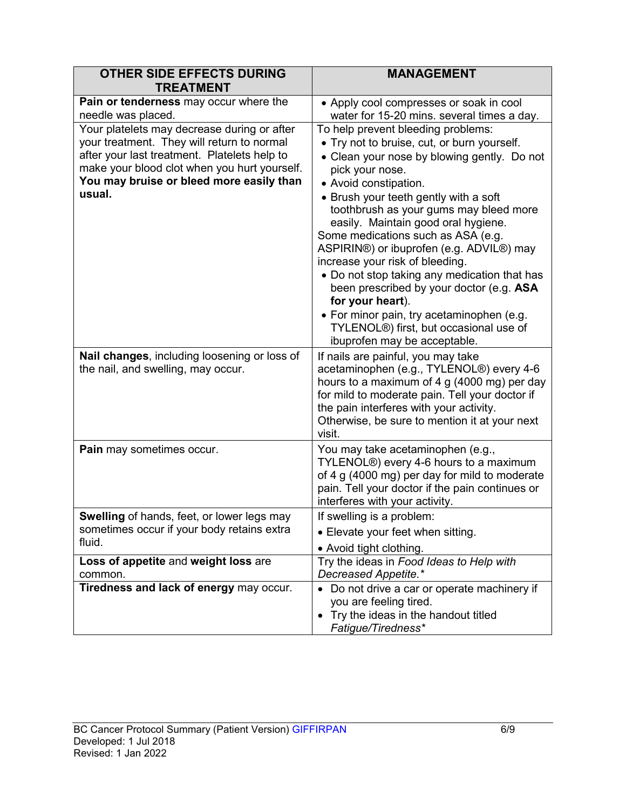| <b>OTHER SIDE EFFECTS DURING</b><br><b>TREATMENT</b>                                                                                                                                                                                            | <b>MANAGEMENT</b>                                                                                                                                                                                                                                                                                                                                                                                                                                                                                                                                                                                                                                                  |  |
|-------------------------------------------------------------------------------------------------------------------------------------------------------------------------------------------------------------------------------------------------|--------------------------------------------------------------------------------------------------------------------------------------------------------------------------------------------------------------------------------------------------------------------------------------------------------------------------------------------------------------------------------------------------------------------------------------------------------------------------------------------------------------------------------------------------------------------------------------------------------------------------------------------------------------------|--|
| Pain or tenderness may occur where the<br>needle was placed.                                                                                                                                                                                    | • Apply cool compresses or soak in cool<br>water for 15-20 mins. several times a day.                                                                                                                                                                                                                                                                                                                                                                                                                                                                                                                                                                              |  |
| Your platelets may decrease during or after<br>your treatment. They will return to normal<br>after your last treatment. Platelets help to<br>make your blood clot when you hurt yourself.<br>You may bruise or bleed more easily than<br>usual. | To help prevent bleeding problems:<br>• Try not to bruise, cut, or burn yourself.<br>• Clean your nose by blowing gently. Do not<br>pick your nose.<br>• Avoid constipation.<br>• Brush your teeth gently with a soft<br>toothbrush as your gums may bleed more<br>easily. Maintain good oral hygiene.<br>Some medications such as ASA (e.g.<br>ASPIRIN®) or ibuprofen (e.g. ADVIL®) may<br>increase your risk of bleeding.<br>• Do not stop taking any medication that has<br>been prescribed by your doctor (e.g. ASA<br>for your heart).<br>• For minor pain, try acetaminophen (e.g.<br>TYLENOL®) first, but occasional use of<br>ibuprofen may be acceptable. |  |
| Nail changes, including loosening or loss of<br>the nail, and swelling, may occur.                                                                                                                                                              | If nails are painful, you may take<br>acetaminophen (e.g., TYLENOL®) every 4-6<br>hours to a maximum of 4 g (4000 mg) per day<br>for mild to moderate pain. Tell your doctor if<br>the pain interferes with your activity.<br>Otherwise, be sure to mention it at your next<br>visit.                                                                                                                                                                                                                                                                                                                                                                              |  |
| Pain may sometimes occur.                                                                                                                                                                                                                       | You may take acetaminophen (e.g.,<br>TYLENOL <sup>®</sup> ) every 4-6 hours to a maximum<br>of 4 g (4000 mg) per day for mild to moderate<br>pain. Tell your doctor if the pain continues or<br>interferes with your activity.                                                                                                                                                                                                                                                                                                                                                                                                                                     |  |
| <b>Swelling</b> of hands, feet, or lower legs may<br>sometimes occur if your body retains extra<br>fluid.                                                                                                                                       | If swelling is a problem:<br>• Elevate your feet when sitting.<br>• Avoid tight clothing.                                                                                                                                                                                                                                                                                                                                                                                                                                                                                                                                                                          |  |
| Loss of appetite and weight loss are<br>common.                                                                                                                                                                                                 | Try the ideas in Food Ideas to Help with<br>Decreased Appetite.*                                                                                                                                                                                                                                                                                                                                                                                                                                                                                                                                                                                                   |  |
| Tiredness and lack of energy may occur.                                                                                                                                                                                                         | • Do not drive a car or operate machinery if<br>you are feeling tired.<br>Try the ideas in the handout titled<br>٠<br>Fatigue/Tiredness*                                                                                                                                                                                                                                                                                                                                                                                                                                                                                                                           |  |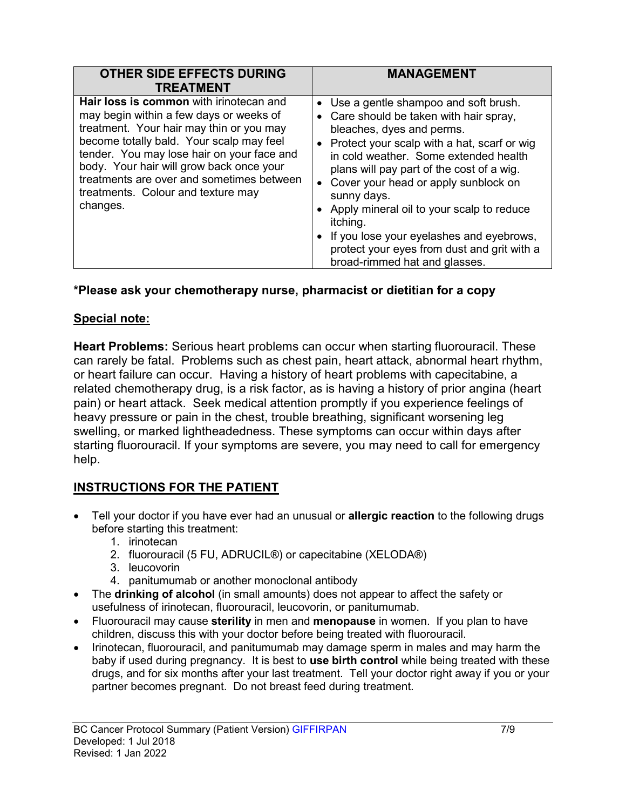| <b>OTHER SIDE EFFECTS DURING</b><br><b>TREATMENT</b>                                                                                                                                                                                                                                                                                                                       | <b>MANAGEMENT</b>                                                                                                                                                                                                                                                                                                                                                                                                                                                                                        |
|----------------------------------------------------------------------------------------------------------------------------------------------------------------------------------------------------------------------------------------------------------------------------------------------------------------------------------------------------------------------------|----------------------------------------------------------------------------------------------------------------------------------------------------------------------------------------------------------------------------------------------------------------------------------------------------------------------------------------------------------------------------------------------------------------------------------------------------------------------------------------------------------|
| <b>Hair loss is common</b> with irinotecan and<br>may begin within a few days or weeks of<br>treatment. Your hair may thin or you may<br>become totally bald. Your scalp may feel<br>tender. You may lose hair on your face and<br>body. Your hair will grow back once your<br>treatments are over and sometimes between<br>treatments. Colour and texture may<br>changes. | Use a gentle shampoo and soft brush.<br>Care should be taken with hair spray,<br>bleaches, dyes and perms.<br>Protect your scalp with a hat, scarf or wig<br>$\bullet$<br>in cold weather. Some extended health<br>plans will pay part of the cost of a wig.<br>Cover your head or apply sunblock on<br>sunny days.<br>Apply mineral oil to your scalp to reduce<br>itching.<br>If you lose your eyelashes and eyebrows,<br>protect your eyes from dust and grit with a<br>broad-rimmed hat and glasses. |

## **\*Please ask your chemotherapy nurse, pharmacist or dietitian for a copy**

### **Special note:**

**Heart Problems:** Serious heart problems can occur when starting fluorouracil. These can rarely be fatal. Problems such as chest pain, heart attack, abnormal heart rhythm, or heart failure can occur. Having a history of heart problems with capecitabine, a related chemotherapy drug, is a risk factor, as is having a history of prior angina (heart pain) or heart attack. Seek medical attention promptly if you experience feelings of heavy pressure or pain in the chest, trouble breathing, significant worsening leg swelling, or marked lightheadedness. These symptoms can occur within days after starting fluorouracil. If your symptoms are severe, you may need to call for emergency help.

## **INSTRUCTIONS FOR THE PATIENT**

- Tell your doctor if you have ever had an unusual or **allergic reaction** to the following drugs before starting this treatment:
	- 1. irinotecan
	- 2. fluorouracil (5 FU, ADRUCIL®) or capecitabine (XELODA®)
	- 3. leucovorin
	- 4. panitumumab or another monoclonal antibody
- The **drinking of alcohol** (in small amounts) does not appear to affect the safety or usefulness of irinotecan, fluorouracil, leucovorin, or panitumumab.
- Fluorouracil may cause **sterility** in men and **menopause** in women. If you plan to have children, discuss this with your doctor before being treated with fluorouracil.
- Irinotecan, fluorouracil, and panitumumab may damage sperm in males and may harm the baby if used during pregnancy. It is best to **use birth control** while being treated with these drugs, and for six months after your last treatment. Tell your doctor right away if you or your partner becomes pregnant. Do not breast feed during treatment.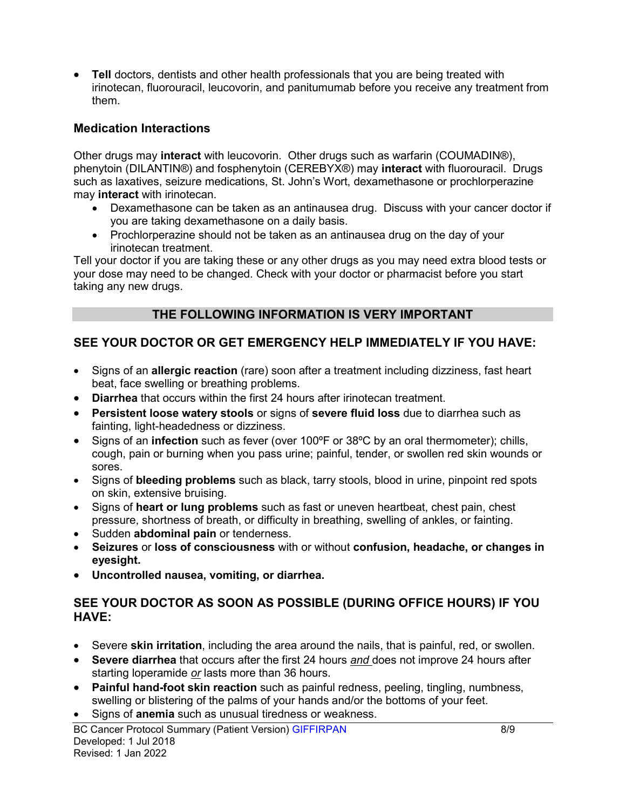• **Tell** doctors, dentists and other health professionals that you are being treated with irinotecan, fluorouracil, leucovorin, and panitumumab before you receive any treatment from them.

### **Medication Interactions**

Other drugs may **interact** with leucovorin. Other drugs such as warfarin (COUMADIN®), phenytoin (DILANTIN®) and fosphenytoin (CEREBYX®) may **interact** with fluorouracil. Drugs such as laxatives, seizure medications, St. John's Wort, dexamethasone or prochlorperazine may **interact** with irinotecan.

- Dexamethasone can be taken as an antinausea drug. Discuss with your cancer doctor if you are taking dexamethasone on a daily basis.
- Prochlorperazine should not be taken as an antinausea drug on the day of your irinotecan treatment.

Tell your doctor if you are taking these or any other drugs as you may need extra blood tests or your dose may need to be changed. Check with your doctor or pharmacist before you start taking any new drugs.

### **THE FOLLOWING INFORMATION IS VERY IMPORTANT**

### **SEE YOUR DOCTOR OR GET EMERGENCY HELP IMMEDIATELY IF YOU HAVE:**

- Signs of an **allergic reaction** (rare) soon after a treatment including dizziness, fast heart beat, face swelling or breathing problems.
- **Diarrhea** that occurs within the first 24 hours after irinotecan treatment.
- **Persistent loose watery stools** or signs of **severe fluid loss** due to diarrhea such as fainting, light-headedness or dizziness.
- Signs of an **infection** such as fever (over 100ºF or 38ºC by an oral thermometer); chills, cough, pain or burning when you pass urine; painful, tender, or swollen red skin wounds or sores.
- Signs of **bleeding problems** such as black, tarry stools, blood in urine, pinpoint red spots on skin, extensive bruising.
- Signs of **heart or lung problems** such as fast or uneven heartbeat, chest pain, chest pressure, shortness of breath, or difficulty in breathing, swelling of ankles, or fainting.
- Sudden **abdominal pain** or tenderness.
- **Seizures** or **loss of consciousness** with or without **confusion, headache, or changes in eyesight.**
- **Uncontrolled nausea, vomiting, or diarrhea.**

#### **SEE YOUR DOCTOR AS SOON AS POSSIBLE (DURING OFFICE HOURS) IF YOU HAVE:**

- Severe **skin irritation**, including the area around the nails, that is painful, red, or swollen.
- **Severe diarrhea** that occurs after the first 24 hours *and* does not improve 24 hours after starting loperamide *or* lasts more than 36 hours.
- **Painful hand-foot skin reaction** such as painful redness, peeling, tingling, numbness, swelling or blistering of the palms of your hands and/or the bottoms of your feet.
- Signs of **anemia** such as unusual tiredness or weakness.